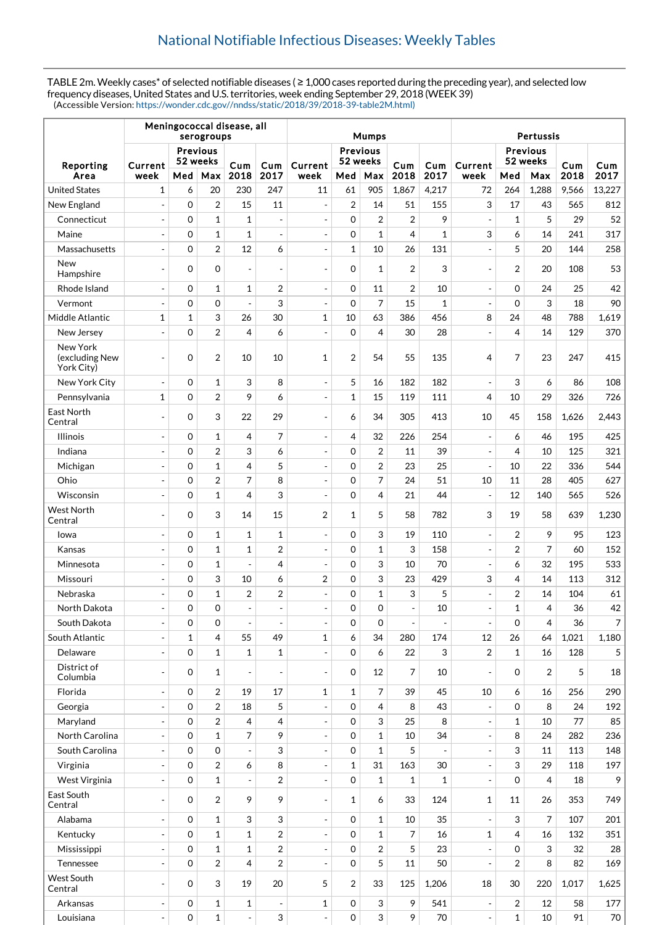TABLE 2m. Weekly cases\* of selected notifiable diseases ( ≥ 1,000 cases reported during the preceding year), and selected low frequency diseases, United States and U.S. territories, week ending September 29, 2018 (WEEK 39) (Accessible Version: [https://wonder.cdc.gov//nndss/static/2018/39/2018-39-table2M.html\)](https://wonder.cdc.gov//nndss/static/2018/39/2018-39-table2M.html)

|                                          |                                        | Meningococcal disease, all<br>serogroups |                         |                          | <b>Mumps</b>                           |                          |                | Pertussis      |                          |                                        |                          |                |       |       |                |
|------------------------------------------|----------------------------------------|------------------------------------------|-------------------------|--------------------------|----------------------------------------|--------------------------|----------------|----------------|--------------------------|----------------------------------------|--------------------------|----------------|-------|-------|----------------|
| Reporting                                | <b>Previous</b><br>52 weeks<br>Current |                                          | Cum                     | Cum                      | <b>Previous</b><br>52 weeks<br>Current |                          |                | Cum<br>Cum     |                          | <b>Previous</b><br>52 weeks<br>Current |                          | Cum<br>Cum     |       |       |                |
| Area                                     | week                                   | Med                                      | Max                     | 2018                     | 2017                                   | week                     | Med            | Max            | 2018                     | 2017                                   | week                     | Med            | Max   | 2018  | 2017           |
| <b>United States</b>                     | 1                                      | 6                                        | 20                      | 230                      | 247                                    | 11                       | 61             | 905            | 1.867                    | 4,217                                  | 72                       | 264            | 1,288 | 9,566 | 13,227         |
| New England                              |                                        | $\Omega$                                 | $\overline{2}$          | 15                       | 11                                     | $\overline{\phantom{a}}$ | $\overline{2}$ | 14             | 51                       | 155                                    | 3                        | 17             | 43    | 565   | 812            |
| Connecticut                              | $\overline{\phantom{a}}$               | $\mathbf 0$                              | $\mathbf{1}$            | $\mathbf{1}$             | $\overline{a}$                         | $\overline{\phantom{a}}$ | $\Omega$       | $\overline{2}$ | $\overline{2}$           | 9                                      | $\blacksquare$           | $\mathbf{1}$   | 5     | 29    | 52             |
| Maine                                    | $\overline{a}$                         | $\mathbf 0$                              | $\mathbf{1}$            | 1                        | $\overline{a}$                         | $\blacksquare$           | $\mathbf 0$    | $\mathbf{1}$   | $\overline{4}$           | 1                                      | 3                        | 6              | 14    | 241   | 317            |
| Massachusetts                            | $\overline{\phantom{a}}$               | $\mathbf 0$                              | $\sqrt{2}$              | 12                       | 6                                      | $\overline{\phantom{a}}$ | 1              | 10             | 26                       | 131                                    | $\overline{a}$           | 5              | 20    | 144   | 258            |
| New<br>Hampshire                         | $\overline{\phantom{a}}$               | $\mathbf 0$                              | $\mathbf 0$             | $\frac{1}{2}$            | $\overline{\phantom{a}}$               | $\blacksquare$           | $\Omega$       | 1              | $\overline{2}$           | 3                                      | $\blacksquare$           | $\overline{2}$ | 20    | 108   | 53             |
| Rhode Island                             | $\blacksquare$                         | $\mathbf 0$                              | $\mathbf{1}$            | 1                        | 2                                      | $\overline{\phantom{a}}$ | $\mathbf 0$    | 11             | $\overline{2}$           | 10                                     | $\blacksquare$           | $\mathbf 0$    | 24    | 25    | 42             |
| Vermont                                  | $\overline{a}$                         | $\mathbf 0$                              | $\mathbf 0$             | $\overline{a}$           | 3                                      | $\overline{\phantom{a}}$ | $\mathbf 0$    | 7              | 15                       | $\mathbf{1}$                           | $\overline{a}$           | $\mathbf 0$    | 3     | 18    | 90             |
| Middle Atlantic                          | 1                                      | $\mathbf{1}$                             | 3                       | 26                       | 30                                     | $\mathbf{1}$             | 10             | 63             | 386                      | 456                                    | 8                        | 24             | 48    | 788   | 1,619          |
| New Jersey                               | $\blacksquare$                         | $\mathbf 0$                              | $\overline{2}$          | 4                        | 6                                      | $\overline{\phantom{a}}$ | $\mathbf 0$    | 4              | 30                       | 28                                     | $\overline{\phantom{a}}$ | $\overline{4}$ | 14    | 129   | 370            |
| New York<br>(excluding New<br>York City) |                                        | $\mathbf 0$                              | $\overline{2}$          | 10                       | 10                                     | $\mathbf{1}$             | $\overline{2}$ | 54             | 55                       | 135                                    | 4                        | $\overline{7}$ | 23    | 247   | 415            |
| New York City                            | $\overline{\phantom{a}}$               | $\mathbf 0$                              | $\mathbf{1}$            | 3                        | 8                                      | $\overline{\phantom{a}}$ | 5              | 16             | 182                      | 182                                    | $\overline{\phantom{a}}$ | 3              | 6     | 86    | 108            |
| Pennsylvania                             | 1                                      | $\mathbf 0$                              | $\overline{2}$          | 9                        | 6                                      | $\overline{\phantom{a}}$ | 1              | 15             | 119                      | 111                                    | 4                        | 10             | 29    | 326   | 726            |
| East North<br>Central                    |                                        | $\mathbf 0$                              | 3                       | 22                       | 29                                     | $\blacksquare$           | 6              | 34             | 305                      | 413                                    | 10                       | 45             | 158   | 1,626 | 2,443          |
| Illinois                                 | $\overline{\phantom{a}}$               | $\mathbf 0$                              | $\mathbf{1}$            | 4                        | 7                                      | $\blacksquare$           | 4              | 32             | 226                      | 254                                    | $\blacksquare$           | 6              | 46    | 195   | 425            |
| Indiana                                  | $\blacksquare$                         | $\mathbf 0$                              | $\overline{2}$          | 3                        | 6                                      | $\overline{\phantom{a}}$ | $\Omega$       | $\overline{2}$ | 11                       | 39                                     | $\overline{a}$           | $\overline{4}$ | 10    | 125   | 321            |
| Michigan                                 |                                        | $\mathbf 0$                              | $\mathbf{1}$            | 4                        | 5                                      | $\overline{\phantom{a}}$ | $\mathbf 0$    | 2              | 23                       | 25                                     | $\overline{a}$           | 10             | 22    | 336   | 544            |
| Ohio                                     | $\blacksquare$                         | $\mathbf 0$                              | $\overline{\mathbf{c}}$ | 7                        | 8                                      | $\overline{\phantom{a}}$ | $\mathbf 0$    | 7              | 24                       | 51                                     | 10                       | 11             | 28    | 405   | 627            |
| Wisconsin                                |                                        | $\mathbf 0$                              | $\mathbf{1}$            | 4                        | 3                                      | $\overline{\phantom{a}}$ | $\Omega$       | 4              | 21                       | 44                                     | $\blacksquare$           | 12             | 140   | 565   | 526            |
| <b>West North</b><br>Central             |                                        | $\mathbf 0$                              | 3                       | 14                       | 15                                     | 2                        | 1              | 5              | 58                       | 782                                    | 3                        | 19             | 58    | 639   | 1,230          |
| lowa                                     |                                        | $\mathbf 0$                              | $\mathbf{1}$            | 1                        | $\mathbf{1}$                           | $\overline{\phantom{a}}$ | $\mathbf 0$    | 3              | 19                       | 110                                    | $\overline{a}$           | $\overline{2}$ | 9     | 95    | 123            |
| Kansas                                   | $\blacksquare$                         | $\mathbf 0$                              | $\mathbf{1}$            | $\mathbf 1$              | 2                                      | $\overline{\phantom{a}}$ | $\Omega$       | $\mathbf 1$    | 3                        | 158                                    | $\overline{\phantom{a}}$ | $\overline{2}$ | 7     | 60    | 152            |
| Minnesota                                | $\blacksquare$                         | $\mathbf 0$                              | 1                       | $\overline{a}$           | 4                                      | $\overline{\phantom{a}}$ | $\mathbf 0$    | 3              | 10                       | 70                                     | $\overline{\phantom{a}}$ | 6              | 32    | 195   | 533            |
| Missouri                                 |                                        | $\mathbf 0$                              | 3                       | 10                       | 6                                      | 2                        | $\mathbf 0$    | 3              | 23                       | 429                                    | 3                        | $\overline{4}$ | 14    | 113   | 312            |
| Nebraska                                 |                                        | $\mathbf 0$                              | $\mathbf 1$             | 2                        | 2                                      | $\overline{\phantom{a}}$ | $\mathbf 0$    | $\mathbf 1$    | 3                        | 5                                      | $\overline{a}$           | $\overline{2}$ | 14    | 104   | 61             |
| North Dakota                             | $\overline{a}$                         | $\Omega$                                 | $\overline{0}$          | $\overline{a}$           | $\overline{a}$                         | $\overline{a}$           | $\mathbf 0$    | $\overline{0}$ | $\overline{\phantom{a}}$ | 10                                     | $\overline{a}$           | $\mathbf{1}$   | 4     | 36    | 42             |
| South Dakota                             | $\blacksquare$                         | $\mathbf 0$                              | $\mathbf 0$             | $\blacksquare$           | $\overline{\phantom{a}}$               | $\overline{\phantom{a}}$ | $\mathbf 0$    | $\mathbf 0$    | $\overline{\phantom{a}}$ | $\sim$                                 | $\blacksquare$           | 0              | 4     | 36    | $\overline{7}$ |
| South Atlantic                           | $\overline{\phantom{a}}$               | 1                                        | 4                       | 55                       | 49                                     | 1                        | 6              | 34             | 280                      | 174                                    | 12                       | 26             | 64    | 1,021 | 1,180          |
| Delaware                                 | $\overline{\phantom{a}}$               | $\mathbf 0$                              | $\mathbf{1}$            | $\mathbf{1}$             | $\mathbf{1}$                           | $\overline{a}$           | $\mathbf 0$    | 6              | 22                       | 3                                      | $\overline{2}$           | $\mathbf{1}$   | 16    | 128   | 5              |
| District of<br>Columbia                  |                                        | $\mathbf 0$                              | 1                       | $\blacksquare$           | $\overline{\phantom{a}}$               | $\overline{\phantom{a}}$ | $\mathbf 0$    | 12             | 7                        | 10                                     | $\overline{a}$           | $\mathbf 0$    | 2     | 5     | 18             |
| Florida                                  | $\overline{\phantom{a}}$               | $\mathbf 0$                              | $\overline{2}$          | 19                       | 17                                     | 1                        | $\mathbf{1}$   | $\overline{7}$ | 39                       | 45                                     | 10                       | 6              | 16    | 256   | 290            |
| Georgia                                  | $\overline{\phantom{a}}$               | $\mathbf 0$                              | $\overline{\mathbf{c}}$ | 18                       | 5                                      | $\frac{1}{2}$            | $\mathbf 0$    | 4              | 8                        | 43                                     | ÷                        | 0              | 8     | 24    | 192            |
| Maryland                                 | $\overline{\phantom{a}}$               | $\mathbf 0$                              | $\overline{2}$          | 4                        | 4                                      | $\overline{\phantom{a}}$ | $\mathbf 0$    | 3              | 25                       | 8                                      | $\overline{\phantom{a}}$ | $\mathbf{1}$   | 10    | 77    | 85             |
| North Carolina                           |                                        | $\mathbf 0$                              | $\mathbf{1}$            | 7                        | 9                                      | $\frac{1}{2}$            | $\mathbf 0$    | $\mathbf{1}$   | 10                       | 34                                     | $\overline{\phantom{a}}$ | 8              | 24    | 282   | 236            |
| South Carolina                           | $\overline{\phantom{a}}$               | $\mathbf 0$                              | $\mathbf 0$             | $\overline{\phantom{a}}$ | 3                                      | $\frac{1}{2}$            | $\mathbf 0$    | $\mathbf{1}$   | 5                        |                                        | $\overline{\phantom{a}}$ | 3              | 11    | 113   | 148            |
| Virginia                                 | $\blacksquare$                         | $\mathbf 0$                              | $\overline{c}$          | 6                        | 8                                      | $\overline{\phantom{a}}$ | $\mathbf{1}$   | 31             | 163                      | 30                                     | $\overline{a}$           | 3              | 29    | 118   | 197            |
| West Virginia                            | $\qquad \qquad \blacksquare$           | $\mathbf 0$                              | $\mathbf{1}$            | $\overline{\phantom{a}}$ | 2                                      | $\blacksquare$           | $\mathbf 0$    | $\mathbf{1}$   | $\mathbf{1}$             | $\mathbf{1}$                           | $\Box$                   | $\Omega$       | 4     | 18    | 9              |
| East South<br>Central                    | $\blacksquare$                         | $\mathbf 0$                              | $\overline{2}$          | 9                        | 9                                      | $\overline{\phantom{a}}$ | 1              | 6              | 33                       | 124                                    | 1                        | 11             | 26    | 353   | 749            |
| Alabama                                  | $\qquad \qquad \blacksquare$           | $\mathbf 0$                              | $\mathbf 1$             | 3                        | 3                                      | $\frac{1}{2}$            | $\mathbf 0$    | $\mathbf{1}$   | 10                       | 35                                     | $\blacksquare$           | 3              | 7     | 107   | 201            |
| Kentucky                                 | $\blacksquare$                         | $\mathbf 0$                              | 1                       | 1                        | 2                                      | $\overline{\phantom{a}}$ | $\mathbf 0$    | 1              | 7                        | 16                                     | 1                        | $\overline{4}$ | 16    | 132   | 351            |
| Mississippi                              | $\overline{\phantom{a}}$               | $\mathbf 0$                              | $\mathbf{1}$            | $\mathbf{1}$             | $\overline{2}$                         | $\frac{1}{2}$            | $\mathbf 0$    | $\overline{2}$ | 5                        | 23                                     | $\overline{\phantom{a}}$ | $\mathbf 0$    | 3     | 32    | 28             |
| Tennessee                                | $\overline{a}$                         | $\mathbf 0$                              | $\overline{2}$          | 4                        | $\overline{2}$                         | $\overline{a}$           | $\mathbf 0$    | 5              | 11                       | 50                                     | $\overline{a}$           | $\overline{2}$ | 8     | 82    | 169            |
| West South<br>Central                    |                                        | $\mathbf 0$                              | 3                       | 19                       | 20                                     | 5                        | 2              | 33             | 125                      | 1,206                                  | 18                       | 30             | 220   | 1,017 | 1,625          |
| Arkansas                                 | $\overline{a}$                         | $\mathbf 0$                              | $\mathbf 1$             | $\mathbf{1}$             | $\overline{\phantom{a}}$               | $\mathbf 1$              | $\mathbf 0$    | 3              | 9                        | 541                                    | $\blacksquare$           | $\overline{2}$ | 12    | 58    | 177            |
| Louisiana                                |                                        | $\mathbf 0$                              | $\mathbf 1$             | $\Box$                   | 3                                      | $\frac{1}{2}$            | $\mathbf 0$    | 3              | 9                        | 70                                     | $\blacksquare$           | $\mathbf{1}$   | 10    | 91    | 70             |